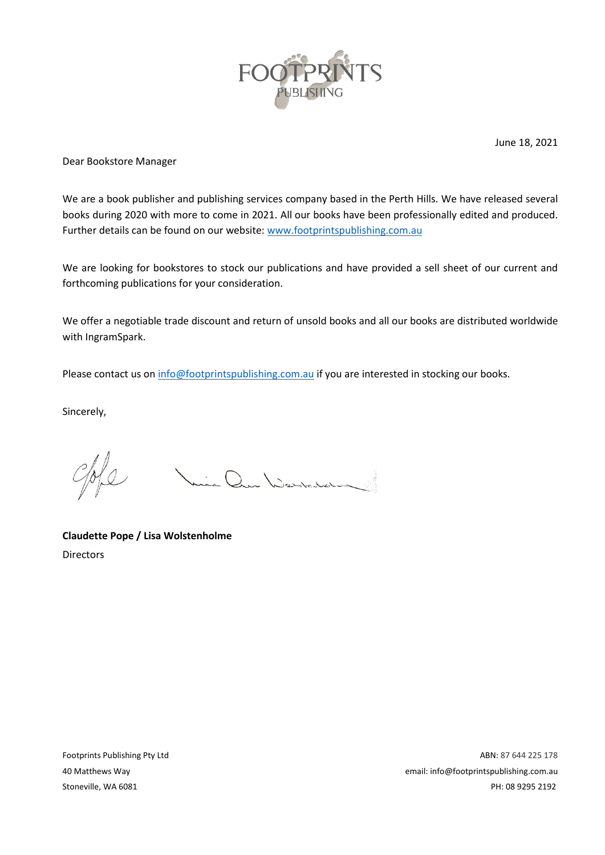

June 18, 2021

Dear Bookstore Manager

We are a book publisher and publishing services company based in the Perth Hills. We have released several books during 2020 with more to come in 2021. All our books have been professionally edited and produced. Further details can be found on our website: [www.footprintspublishing.com.au](https://www.footprintspublishing.com.au/)

We are looking for bookstores to stock our publications and have provided a sell sheet of our current and forthcoming publications for your consideration.

We offer a negotiable trade discount and return of unsold books and all our books are distributed worldwide with IngramSpark.

Please contact us o[n info@footprintspublishing.com.au](mailto:info@footprintspublishing.com.au) if you are interested in stocking our books.

Sincerely,

Vie Que Warrenbarre

**Claudette Pope / Lisa Wolstenholme** Directors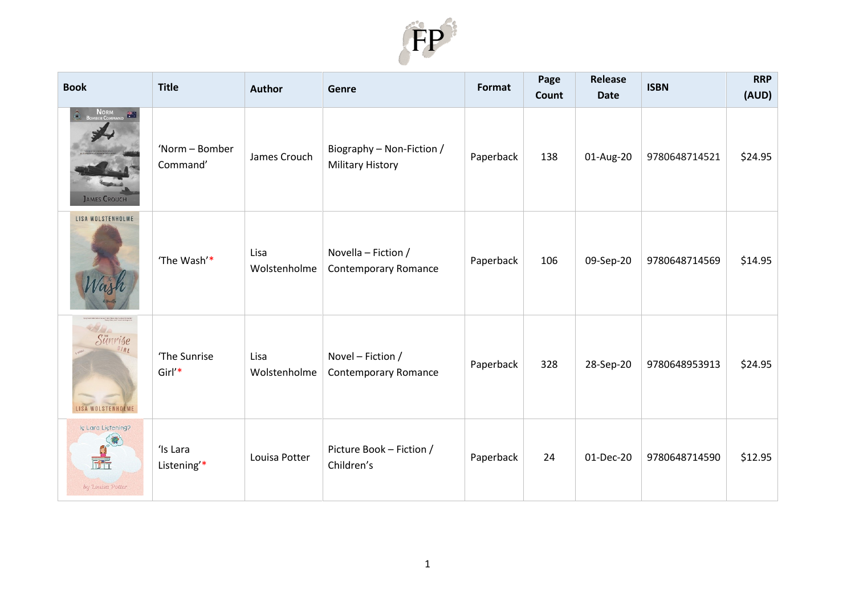

| <b>Book</b>                                                  | <b>Title</b>               | <b>Author</b>        | Genre                                                | <b>Format</b> | Page<br>Count | Release<br><b>Date</b> | <b>ISBN</b>   | <b>RRP</b><br>(AUD) |
|--------------------------------------------------------------|----------------------------|----------------------|------------------------------------------------------|---------------|---------------|------------------------|---------------|---------------------|
| NORM <b>EXAMPLE</b><br>SOMBER COMMAND<br><b>JAMES CROUCH</b> | 'Norm - Bomber<br>Command' | James Crouch         | Biography - Non-Fiction /<br><b>Military History</b> | Paperback     | 138           | 01-Aug-20              | 9780648714521 | \$24.95             |
| LISA WOLSTENHOLME                                            | 'The Wash'*                | Lisa<br>Wolstenholme | Novella - Fiction /<br><b>Contemporary Romance</b>   | Paperback     | 106           | 09-Sep-20              | 9780648714569 | \$14.95             |
| 2980<br>Sünrise<br>lR1<br>LISA WOLSTENHOLME                  | 'The Sunrise<br>Girl'*     | Lisa<br>Wolstenholme | Novel - Fiction /<br><b>Contemporary Romance</b>     | Paperback     | 328           | 28-Sep-20              | 9780648953913 | \$24.95             |
| Is Lard Listening?<br>by Louisa Potter                       | 'Is Lara<br>Listening'*    | Louisa Potter        | Picture Book - Fiction /<br>Children's               | Paperback     | 24            | 01-Dec-20              | 9780648714590 | \$12.95             |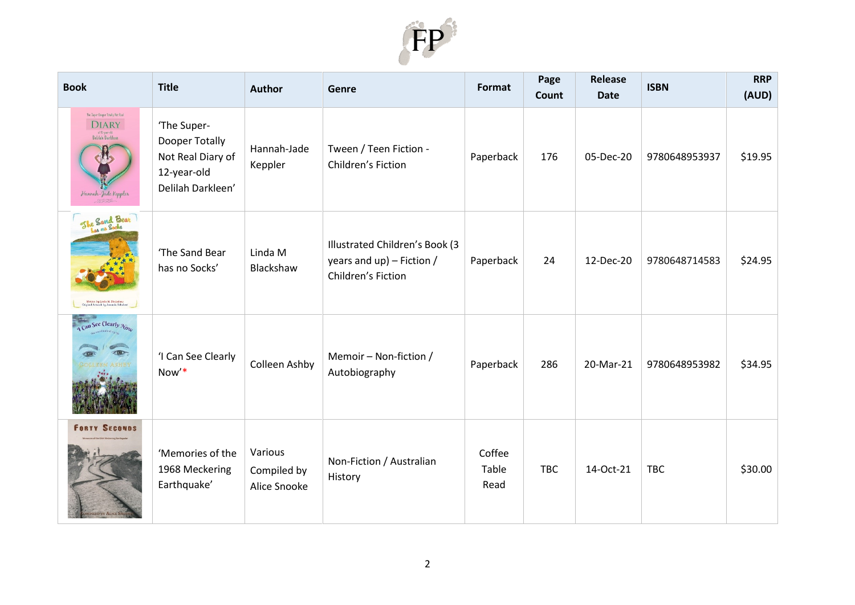

| <b>Book</b>                                                                                                    | <b>Title</b>                                                                           | <b>Author</b>                          | Genre                                                                                | Format                  | Page<br>Count | Release<br><b>Date</b> | <b>ISBN</b>   | <b>RRP</b><br>(AUD) |
|----------------------------------------------------------------------------------------------------------------|----------------------------------------------------------------------------------------|----------------------------------------|--------------------------------------------------------------------------------------|-------------------------|---------------|------------------------|---------------|---------------------|
| The Super-Desper Totally Net Real<br><b>DIARY</b><br>of 12-year-old<br>Delilah Darkleen<br>Hannah-Jade Keppler | 'The Super-<br>Dooper Totally<br>Not Real Diary of<br>12-year-old<br>Delilah Darkleen' | Hannah-Jade<br>Keppler                 | Tween / Teen Fiction -<br>Children's Fiction                                         | Paperback               | 176           | 05-Dec-20              | 9780648953937 | \$19.95             |
| She Sand Bear<br>Written by Linda M. Blockshaw<br>Driginal Artwork by Amandu Schubert                          | 'The Sand Bear<br>has no Socks'                                                        | Linda M<br>Blackshaw                   | Illustrated Children's Book (3<br>years and $up$ ) – Fiction /<br>Children's Fiction | Paperback               | 24            | 12-Dec-20              | 9780648714583 | \$24.95             |
| Can See Clearly Now                                                                                            | 'I Can See Clearly<br>Now'*                                                            | Colleen Ashby                          | Memoir - Non-fiction /<br>Autobiography                                              | Paperback               | 286           | 20-Mar-21              | 9780648953982 | \$34.95             |
| <b>FORTY SECONDS</b>                                                                                           | 'Memories of the<br>1968 Meckering<br>Earthquake'                                      | Various<br>Compiled by<br>Alice Snooke | Non-Fiction / Australian<br>History                                                  | Coffee<br>Table<br>Read | <b>TBC</b>    | 14-Oct-21              | <b>TBC</b>    | \$30.00             |